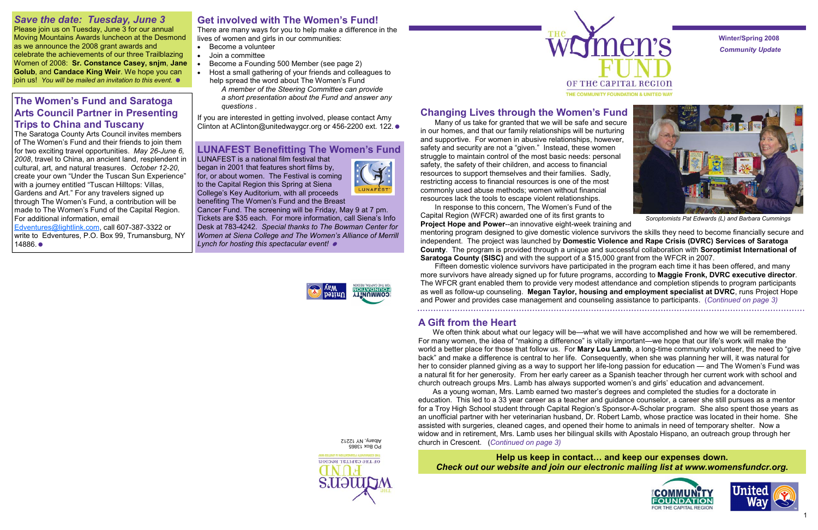*Community Update*  **Winter/Spring 2008** 







# *Save the date: Tuesday, June 3*

Please join us on Tuesday, June 3 for our annual Moving Mountains Awards luncheon at the Desmond as we announce the 2008 grant awards and celebrate the achievements of our three Trailblazing Women of 2008: **Sr. Constance Casey, snjm**, **Jane Golub**, and **Candace King Weir**. We hope you can join us! *You will be mailed an invitation to this event.* 

# **Get involved with The Women's Fund!**

If you are interested in getting involved, please contact Amy Clinton at AClinton@unitedwaygcr.org or 456-2200 ext. 122.  $\bullet$ 

There are many ways for you to help make a difference in the lives of women and girls in our communities:

- Become a volunteer
- Join a committee
- Become a Founding 500 Member (see page 2)
- Host a small gathering of your friends and colleagues to help spread the word about The Women's Fund
	- *A member of the Steering Committee can provide a short presentation about the Fund and answer any questions .*

**Help us keep in contact… and keep our expenses down.**  *Check out our website and join our electronic mailing list at www.womensfundcr.org.* 

# **Changing Lives through the Women's Fund**

Many of us take for granted that we will be safe and secure in our homes, and that our family relationships will be nurturing and supportive. For women in abusive relationships, however, safety and security are not a "given." Instead, these women struggle to maintain control of the most basic needs: personal safety, the safety of their children, and access to financial resources to support themselves and their families. Sadly, restricting access to financial resources is one of the most commonly used abuse methods; women without financial resources lack the tools to escape violent relationships.

We often think about what our legacy will be—what we will have accomplished and how we will be remembered. For many women, the idea of "making a difference" is vitally important—we hope that our life's work will make the world a better place for those that follow us. For **Mary Lou Lamb**, a long-time community volunteer, the need to "give back" and make a difference is central to her life. Consequently, when she was planning her will, it was natural for her to consider planned giving as a way to support her life-long passion for education — and The Women's Fund was a natural fit for her generosity. From her early career as a Spanish teacher through her current work with school and church outreach groups Mrs. Lamb has always supported women's and girls' education and advancement. As a young woman, Mrs. Lamb earned two master's degrees and completed the studies for a doctorate in education. This led to a 33 year career as a teacher and guidance counselor, a career she still pursues as a mentor for a Troy High School student through Capital Region's Sponsor-A-Scholar program. She also spent those years as an unofficial partner with her veterinarian husband, Dr. Robert Lamb, whose practice was located in their home. She assisted with surgeries, cleaned cages, and opened their home to animals in need of temporary shelter. Now a widow and in retirement, Mrs. Lamb uses her bilingual skills with Apostalo Hispano, an outreach group through her

Fifteen domestic violence survivors have participated in the program each time it has been offered, and many more survivors have already signed up for future programs, according to **Maggie Fronk, DVRC executive director**. The WFCR grant enabled them to provide very modest attendance and completion stipends to program participants as well as follow-up counseling. **Megan Taylor, housing and employment specialist at DVRC**, runs Project Hope and Power and provides case management and counseling assistance to participants. (*Continued on page 3)*  

## **A Gift from the Heart**

In response to this concern, The Women's Fund of the Capital Region (WFCR) awarded one of its first grants to **Project Hope and Power**--an innovative eight-week training and mentoring program designed to give domestic violence survivors the skills they need to become financially secure and independent. The project was launched by **Domestic Violence and Rape Crisis (DVRC) Services of Saratoga County**. The program is provided through a unique and successful collaboration with **Soroptimist International of Saratoga County (SISC)** and with the support of a \$15,000 grant from the WFCR in 2007. *Soroptomists Pat Edwards (L) and Barbara Cummings* 

church in Crescent. (*Continued on page 3)* 

## **The Women's Fund and Saratoga Arts Council Partner in Presenting Trips to China and Tuscany**

The Saratoga County Arts Council invites members of The Women's Fund and their friends to join them for two exciting travel opportunities. *May 26-June 6, 2008*, travel to China, an ancient land, resplendent in cultural, art, and natural treasures. *October 12-20*, create your own "Under the Tuscan Sun Experience" with a journey entitled "Tuscan Hilltops: Villas, Gardens and Art." For any travelers signed up through The Women's Fund, a contribution will be made to The Women's Fund of the Capital Region. For additional information, email

Edventures@lightlink.com, call 607-387-3322 or write to Edventures, P.O. Box 99, Trumansburg, NY 14886.

## **LUNAFEST Benefitting The Women's Fund**

LUNAFEST is a national film festival that began in 2001 that features short films by, for, or about women. The Festival is coming to the Capital Region this Spring at Siena College's Key Auditorium, with all proceeds benefiting The Women's Fund and the Breast

Cancer Fund. The screening will be Friday, May 9 at 7 pm. Tickets are \$35 each. For more information, call Siena's Info Desk at 783-4242. *Special thanks to The Bowman Center for* 

> **<u>YTIWUMMOO</u>** naiid

*Women at Siena College and The Women's Alliance of Merrill* 

*Lynch for hosting this spectacular event!* 



PO Box 13865 Albany, NY 12212